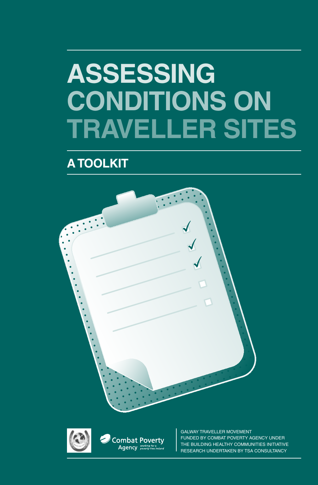# **Assessing Conditions on Traveller sites**

## **A toolkit**





Galway Traveller Movement FUNDED BY COMBAT POVERTY AGENCY UNDER THE BUILDING HEALTHY COMMUNITIES INITIATIVE RESEARCH UNDERTAKEN BY TSA CONSULTANCY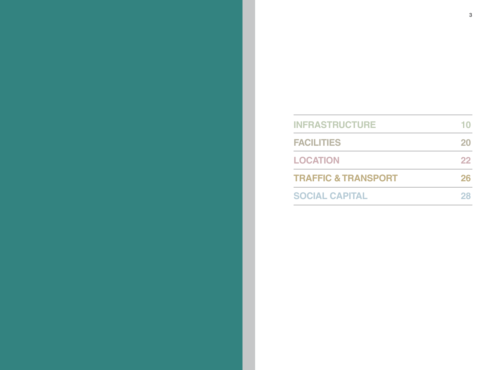| <b>INFRASTRUCTURE</b>          |    |
|--------------------------------|----|
| <b>FACILITIES</b>              | 20 |
| <b>LOCATION</b>                | 22 |
| <b>TRAFFIC &amp; TRANSPORT</b> | 26 |
| <b>SOCIAL CAPITAL</b>          | 28 |

**2 3**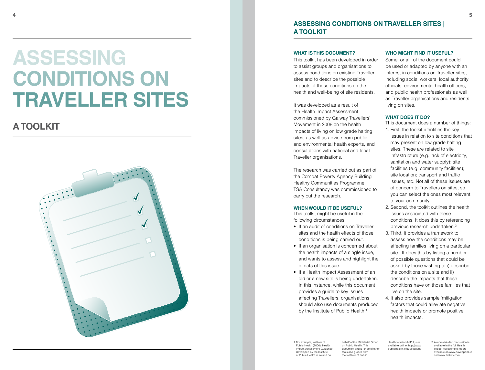## **Assessing CONDITIONS ON Traveller sites**

## **A toolkit**



#### **Assessing Conditions on Traveller sites | A toolkit**

#### **What is this document?**

This toolkit has been developed in order to assist groups and organisations to assess conditions on existing Traveller sites and to describe the possible impacts of these conditions on the health and well-being of site residents.

It was developed as a result of the Health Impact Assessment commissioned by Galway Travellers' Movement in 2008 on the health impacts of living on low grade halting sites, as well as advice from public and environmental health experts, and consultations with national and local Traveller organisations.

The research was carried out as part of the Combat Poverty Agency Building Healthy Communities Programme. TSA Consultancy was commissioned to carry out the research.

#### **When would it be useful?**

This toolkit might be useful in the following circumstances:

- If an audit of conditions on Traveller sites and the health effects of those conditions is being carried out.
- If an organisation is concerned about the health impacts of a single issue, and wants to assess and highlight the effects of this issue.
- If a Health Impact Assessment of an old or a new site is being undertaken. In this instance, while this document provides a guide to key issues affecting Travellers, organisations should also use documents produced by the Institute of Public Health.<sup>1</sup>

#### **Who might find it useful?**

Some, or all, of the document could be used or adapted by anyone with an interest in conditions on Traveller sites, including social workers, local authority officials, environmental health officers, and public health professionals as well as Traveller organisations and residents living on sites.

#### **WHAT DOES IT DO?**

This document does a number of things: 1. First, the toolkit identifies the key

- issues in relation to site conditions that may present on low grade halting sites. These are related to site infrastructure (e.g. lack of electricity, sanitation and water supply); site facilities (e.g. community facilities); site location; transport and traffic issues, etc. Not all of these issues are of concern to Travellers on sites, so you can select the ones most relevant to your community.
- 2. Second, the toolkit outlines the health issues associated with these conditions. It does this by referencing previous research undertaken.2
- 3. Third, it provides a framework to assess how the conditions may be affecting families living on a particular site. It does this by listing a number of possible questions that could be asked by those wishing to i) describe the conditions on a site and ii) describe the impacts that these conditions have on those families that live on the site.
- 4. It also provides sample 'mitigation' factors that could alleviate negative health impacts or promote positive health impacts.

1 For example, Institute of Public Health (2006): Health Impact Assessment Guidance. Developed by the Institute of Public Health in Ireland on

behalf of the Ministerial Group on Public Health. This document and a range of other tools and guides from the Institute of Public Health in Ireland (IPHI) are available online: http://www. publichealth.ie/publications 2 A more detailed discussion is available in the full Health Impact Assessment report available on www.paveepoint.ie and www.itmtrav.com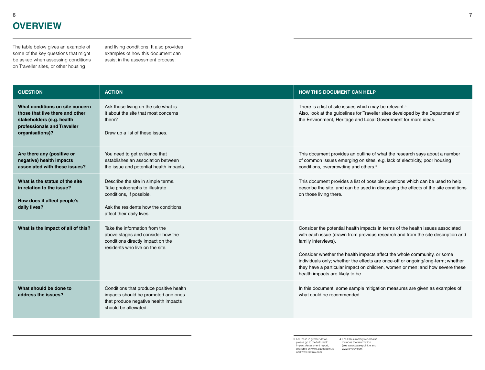## **Overview**

The table below gives an example of some of the key questions that might be asked when assessing conditions on Traveller sites, or other housing

and living conditions. It also provides examples of how this document can assist in the assessment process:

| <b>QUESTION</b>                                                                                                                                   | <b>ACTION</b>                                                                                                                                                         | <b>HOW THIS DOCUMENT CAN HELP</b>                                                                                                                                                                                                                                                                                                                                                                                                                                            |
|---------------------------------------------------------------------------------------------------------------------------------------------------|-----------------------------------------------------------------------------------------------------------------------------------------------------------------------|------------------------------------------------------------------------------------------------------------------------------------------------------------------------------------------------------------------------------------------------------------------------------------------------------------------------------------------------------------------------------------------------------------------------------------------------------------------------------|
| What conditions on site concern<br>those that live there and other<br>stakeholders (e.g. health<br>professionals and Traveller<br>organisations)? | Ask those living on the site what is<br>it about the site that most concerns<br>them?<br>Draw up a list of these issues.                                              | There is a list of site issues which may be relevant. <sup>3</sup><br>Also, look at the guidelines for Traveller sites developed by the Department of<br>the Environment, Heritage and Local Government for more ideas.                                                                                                                                                                                                                                                      |
| Are there any (positive or<br>negative) health impacts<br>associated with these issues?                                                           | You need to get evidence that<br>establishes an association between<br>the issue and potential health impacts.                                                        | This document provides an outline of what the research says about a number<br>of common issues emerging on sites, e.g. lack of electricity, poor housing<br>conditions, overcrowding and others. <sup>4</sup>                                                                                                                                                                                                                                                                |
| What is the status of the site<br>in relation to the issue?<br>How does it affect people's<br>daily lives?                                        | Describe the site in simple terms.<br>Take photographs to illustrate<br>conditions, if possible.<br>Ask the residents how the conditions<br>affect their daily lives. | This document provides a list of possible questions which can be used to help<br>describe the site, and can be used in discussing the effects of the site conditions<br>on those living there.                                                                                                                                                                                                                                                                               |
| What is the impact of all of this?                                                                                                                | Take the information from the<br>above stages and consider how the<br>conditions directly impact on the<br>residents who live on the site.                            | Consider the potential health impacts in terms of the health issues associated<br>with each issue (drawn from previous research and from the site description and<br>family interviews).<br>Consider whether the health impacts affect the whole community, or some<br>individuals only; whether the effects are once-off or ongoing/long-term; whether<br>they have a particular impact on children, women or men; and how severe these<br>health impacts are likely to be. |
| What should be done to<br>address the issues?                                                                                                     | Conditions that produce positive health<br>impacts should be promoted and ones<br>that produce negative health impacts<br>should be alleviated.                       | In this document, some sample mitigation measures are given as examples of<br>what could be recommended.                                                                                                                                                                                                                                                                                                                                                                     |

3 For these in greater detail, please go to the full Health Impact Assessment report, available on www.paveepoint.ie and www.itmtrav.com 4 The HIA summary report also includes the information (see www.paveepoint.ie and www.itmtrav.com)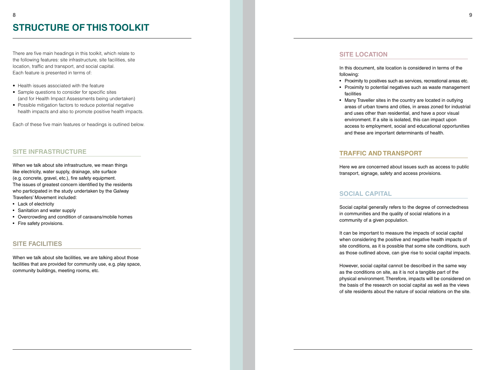There are five main headings in this toolkit, which relate to the following features: site infrastructure, site facilities, site location, traffic and transport, and social capital. Each feature is presented in terms of:

- Health issues associated with the feature
- Sample questions to consider for specific sites (and for Health Impact Assessments being undertaken)
- Possible mitigation factors to reduce potential negative health impacts and also to promote positive health impacts.

Each of these five main features or headings is outlined below.

#### **Site Infrastructure**

When we talk about site infrastructure, we mean things like electricity, water supply, drainage, site surface (e.g. concrete, gravel, etc.), fire safety equipment. The issues of greatest concern identified by the residents who participated in the study undertaken by the Galway Travellers' Movement included: **STRUCTURE OF THIS TOOLKIT**<br>There are five main headings in this toolkit, which relate to<br>the following features: site infrastructure, site facilities, site<br>location, traffic and transport, and social capital.<br>Each feature

- • Lack of electricity
- • Sanitation and water supply
- Overcrowding and condition of caravans/mobile homes
- Fire safety provisions.

### **Site facilities**

When we talk about site facilities, we are talking about those facilities that are provided for community use, e.g. play space,

#### **Site location**

In this document, site location is considered in terms of the following:

- Proximity to positives such as services, recreational areas etc.
- Proximity to potential negatives such as waste management facilities
- Many Traveller sites in the country are located in outlying areas of urban towns and cities, in areas zoned for industrial and uses other than residential, and have a poor visual environment. If a site is isolated, this can impact upon access to employment, social and educational opportunities and these are important determinants of health.

#### **T r affi c and T r ansport**

Here we are concerned about issues such as access to public transport, signage, safety and access provisions.

#### **Social Capital**

Social capital generally refers to the degree of connectedness in communities and the quality of social relations in a community of a given population.

It can be important to measure the impacts of social capital when considering the positive and negative health impacts of site conditions, as it is possible that some site conditions, such as those outlined above, can give rise to social capital impacts.

However, social capital cannot be described in the same way as the conditions on site, as it is not a tangible part of the physical environment. Therefore, impacts will be considered on the basis of the research on social capital as well as the views of site residents about the nature of social relations on the site.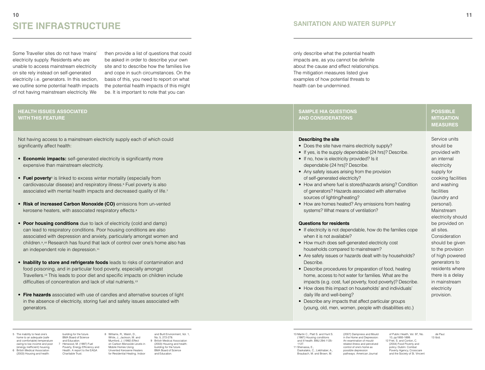Some Traveller sites do not have 'mains' electricity supply. Residents who are unable to access mainstream electricity on site rely instead on self-generated electricity i.e. generators. In this section, we outline some potential health impacts of not having mainstream electricity. We

then provide a list of questions that could be asked in order to describe your own site and to describe how the families live and cope in such circumstances. On the basis of this, you need to report on what the potential health impacts of this might be. It is important to note that you can

#### **Health issues associated with this feature**

Not having access to a mainstream electricity supply each of wh significantly affect health:

- **Economic impacts:** self-generated electricity is significantly r expensive than mainstream electricity.
- Fuel poverty<sup>5</sup> is linked to excess winter mortality (especially from cardiovascular disease) and respiratory illness.<sup>6</sup> Fuel poverty is associated with mental health impacts and decreased quality
- Risk of increased Carbon Monoxide (CO) emissions from un kerosene heaters, with associated respiratory effects.<sup>8</sup>
- Poor housing conditions due to lack of electricity (cold and d can lead to respiratory conditions. Poor housing conditions are associated with depression and anxiety, particularly amongst children.<sup>9</sup>,<sup>10</sup> Research has found that lack of control over one's an independent role in depression.<sup>11</sup>
- **Inability to store and refrigerate foods** leads to risks of conta food poisoning, and in particular food poverty, especially amo Travellers.<sup>12</sup> This leads to poor diet and specific impacts on ch difficulties of concentration and lack of vital nutrients.<sup>13</sup>
- **Fire hazards** associated with use of candles and alternative source in the absence of electricity, storing fuel and safety issues associated with the absence of electricity, storing fuel and safety issues generators.

only describe what the potential health impacts are, as you cannot be definite about the cause and effect relationships. The mitigation measures listed give examples of how potential threats to health can be undermined.

|                                 | <b>SAMPLE HIA QUESTIONS</b><br><b>AND CONSIDERATIONS</b>                                                                                                                              | <b>POSSIBLE</b><br><b>MITIGATION</b><br><b>MEASURES</b>    |
|---------------------------------|---------------------------------------------------------------------------------------------------------------------------------------------------------------------------------------|------------------------------------------------------------|
| ich could<br>nore               | <b>Describing the site</b><br>• Does the site have mains electricity supply?<br>• If yes, is the supply dependable (24 hrs)? Describe.<br>• If no, how is electricity provided? Is it | Service units<br>should be<br>provided with<br>an internal |
| <b>om</b>                       | dependable (24 hrs)? Describe.<br>• Any safety issues arising from the provision<br>of self-generated electricity?                                                                    | electricity<br>supply for<br>cooking facilities            |
| s also<br>of life. <sup>7</sup> | • How and where fuel is stored/hazards arising? Condition<br>of generators? Hazards associated with alternative<br>sources of lighting/heating?                                       | and washing<br>facilities<br>(laundry and                  |
| ı-vented                        | • How are homes heated? Any emissions from heating<br>systems? What means of ventilation?                                                                                             | personal).<br>Mainstream<br>electricity should             |
| damp)                           | <b>Questions for residents</b>                                                                                                                                                        | be provided on                                             |
| e also                          | • If electricity is not dependable, how do the families cope                                                                                                                          | all sites.                                                 |
| women and                       | when it is not available?                                                                                                                                                             | Consideration                                              |
| home also has                   | • How much does self-generated electricity cost<br>households compared to mainstream?<br>• Are safety issues or hazards dealt with by households?                                     | should be given<br>to the provision<br>of high powered     |
| amination and                   | Describe.                                                                                                                                                                             | generators to                                              |
| ngst<br>ildren include          | • Describe procedures for preparation of food, heating<br>home, access to hot water for families. What are the<br>impacts (e.g. cost, fuel poverty, food poverty)? Describe.          | residents where<br>there is a delay<br>in mainstream       |
|                                 | • How does this impact on households' and individuals'                                                                                                                                | electricity                                                |
| ources of light                 | daily life and well-being?                                                                                                                                                            | provision.                                                 |
| ociated with                    | • Describe any impacts that affect particular groups<br>(young, old, men, women, people with disabilities etc.)                                                                       |                                                            |

5 The inability to heat one's home to an adequate (safe and comfortable) temperature owing to low income and poor (energy inefficient) housing. 6 British Medical Association (2003) Housing and health:

building for the future. BMA Board of Science and Education. 7 Henwood, M. (1997) Fuel Poverty, Energy Efficiency and Health. A report to the EAGA Charitable Trust. 8 Williams, R., Walsh, D., White, J., Jackson, M. and Mumford, J. (1992) Effect Mobile Homes Using

on Carbon Monoxide Levels in Unvented Kerosene Heaters for Residential Heating. Indoor and Built Environment, Vol. 1, No. 5, 272-278.

9 British Medical Association (2003) Housing and health: building for the future. BMA Board of Science and Education

10 Martin C., Platt S. and Hunt S. (1987) Housing conditions and ill health. BMJ 294:1125- 1127.

11 Shenassa, E., Daskalakis, C., Liebhaber, A., Braubach, M. and Brown, M.

(2007) Dampness and Mould in the Home and Depression: An examination of mouldrelated illness and perceived control of one's home as possible depression pathways. American Journal

of Public Health, Vol. 97, No. de Paul. 13 Ibid.

10, pp1893-1899. 12 Friel, S. and Conlon, C. (2004) Food Poverty and policy. Dublin: Combat Poverty Agency, Crosscare and the Society of St. Vincent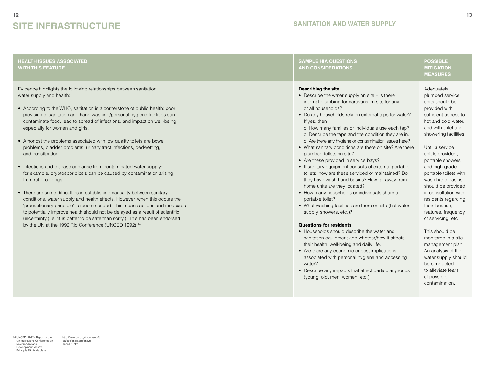14 UNCED (1992). Report of the United Nations Conference on Environment and Development. Annex I Principle 15. Available at

http://www.un.org/documents/] ga/conf151/aconf15126- 1annex1.htm

| <b>HEALTH ISSUES ASSOCIATED</b><br><b>WITH THIS FEATURE</b>                                                                                                                                                                                                                                                                                                                                                                                                                                                                                                                                                                                                                                                                                                                                                                                                                                                                                                                                                                                                                                                                                                                              | <b>SAMPLE HIA QUESTIONS</b><br><b>AND CONSIDERATIONS</b>                                                                                                                                                                                                                                                                                                                                                                                                                                                                                                                                                                                                                                                                                                                                                                                                                                                                                                                                                                                                                                                                                                                                                                                                                      | <b>POSSIBLE</b><br><b>MITIGATION</b><br><b>MEASURES</b>                                                                                                                                                                                                                                                                                                                                                                                                                                                                                                                                                           |
|------------------------------------------------------------------------------------------------------------------------------------------------------------------------------------------------------------------------------------------------------------------------------------------------------------------------------------------------------------------------------------------------------------------------------------------------------------------------------------------------------------------------------------------------------------------------------------------------------------------------------------------------------------------------------------------------------------------------------------------------------------------------------------------------------------------------------------------------------------------------------------------------------------------------------------------------------------------------------------------------------------------------------------------------------------------------------------------------------------------------------------------------------------------------------------------|-------------------------------------------------------------------------------------------------------------------------------------------------------------------------------------------------------------------------------------------------------------------------------------------------------------------------------------------------------------------------------------------------------------------------------------------------------------------------------------------------------------------------------------------------------------------------------------------------------------------------------------------------------------------------------------------------------------------------------------------------------------------------------------------------------------------------------------------------------------------------------------------------------------------------------------------------------------------------------------------------------------------------------------------------------------------------------------------------------------------------------------------------------------------------------------------------------------------------------------------------------------------------------|-------------------------------------------------------------------------------------------------------------------------------------------------------------------------------------------------------------------------------------------------------------------------------------------------------------------------------------------------------------------------------------------------------------------------------------------------------------------------------------------------------------------------------------------------------------------------------------------------------------------|
| Evidence highlights the following relationships between sanitation,<br>water supply and health:<br>According to the WHO, sanitation is a cornerstone of public health: poor<br>provision of sanitation and hand washing/personal hygiene facilities can<br>contaminate food, lead to spread of infections, and impact on well-being,<br>especially for women and girls.<br>Amongst the problems associated with low quality toilets are bowel<br>problems, bladder problems, urinary tract infections, bedwetting,<br>and constipation.<br>Infections and disease can arise from contaminated water supply:<br>for example, cryptosporidiosis can be caused by contamination arising<br>from rat droppings.<br>There are some difficulties in establishing causality between sanitary<br>conditions, water supply and health effects. However, when this occurs the<br>'precautionary principle' is recommended. This means actions and measures<br>to potentially improve health should not be delayed as a result of scientific<br>uncertainty (i.e. 'it is better to be safe than sorry'). This has been endorsed<br>by the UN at the 1992 Rio Conference (UNCED 1992). <sup>14</sup> | <b>Describing the site</b><br>• Describe the water supply on site - is there<br>internal plumbing for caravans on site for any<br>or all households?<br>• Do any households rely on external taps for water?<br>If yes, then<br>o How many families or individuals use each tap?<br>o Describe the taps and the condition they are in.<br>o Are there any hygiene or contamination issues here?<br>• What sanitary conditions are there on site? Are there<br>plumbed toilets on site?<br>• Are these provided in service bays?<br>• If sanitary equipment consists of external portable<br>toilets, how are these serviced or maintained? Do<br>they have wash hand basins? How far away from<br>home units are they located?<br>• How many households or individuals share a<br>portable toilet?<br>• What washing facilities are there on site (hot water<br>supply, showers, etc.)?<br><b>Questions for residents</b><br>• Households should describe the water and<br>sanitation equipment and whether/how it affects<br>their health, well-being and daily life.<br>• Are there any economic or cost implications<br>associated with personal hygiene and accessing<br>water?<br>• Describe any impacts that affect particular groups<br>(young, old, men, women, etc.) | Adequately<br>plumbed service<br>units should be<br>provided with<br>sufficient access to<br>hot and cold water,<br>and with toilet and<br>showering facilities.<br>Until a service<br>unit is provided,<br>portable showers<br>and high grade<br>portable toilets with<br>wash hand basins<br>should be provided<br>in consultation with<br>residents regarding<br>their location,<br>features, frequency<br>of servicing, etc.<br>This should be<br>monitored in a site<br>management plan.<br>An analysis of the<br>water supply should<br>be conducted<br>to alleviate fears<br>of possible<br>contamination. |
|                                                                                                                                                                                                                                                                                                                                                                                                                                                                                                                                                                                                                                                                                                                                                                                                                                                                                                                                                                                                                                                                                                                                                                                          |                                                                                                                                                                                                                                                                                                                                                                                                                                                                                                                                                                                                                                                                                                                                                                                                                                                                                                                                                                                                                                                                                                                                                                                                                                                                               |                                                                                                                                                                                                                                                                                                                                                                                                                                                                                                                                                                                                                   |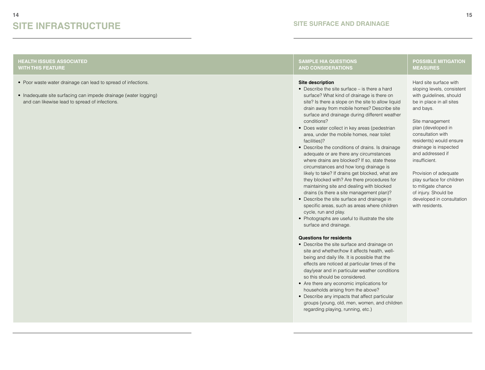| <b>HEALTH ISSUES ASSOCIATED</b>                                                                                                                                                    | <b>SAMPLE HIA QUESTIONS</b>                                                                                                                                                                                                                                                                                                                                                                                                                                                                                                                                                                                                                                                                                                                                                                                                                                                                                                                                                                                                                                                                                                                                                                                                                                                                                                                                                                                                                                                                                  | <b>POSSIBLE MITIGATION</b>                                                                                                                                                                                                                                                                                                                                                                                                          |
|------------------------------------------------------------------------------------------------------------------------------------------------------------------------------------|--------------------------------------------------------------------------------------------------------------------------------------------------------------------------------------------------------------------------------------------------------------------------------------------------------------------------------------------------------------------------------------------------------------------------------------------------------------------------------------------------------------------------------------------------------------------------------------------------------------------------------------------------------------------------------------------------------------------------------------------------------------------------------------------------------------------------------------------------------------------------------------------------------------------------------------------------------------------------------------------------------------------------------------------------------------------------------------------------------------------------------------------------------------------------------------------------------------------------------------------------------------------------------------------------------------------------------------------------------------------------------------------------------------------------------------------------------------------------------------------------------------|-------------------------------------------------------------------------------------------------------------------------------------------------------------------------------------------------------------------------------------------------------------------------------------------------------------------------------------------------------------------------------------------------------------------------------------|
| <b>WITH THIS FEATURE</b>                                                                                                                                                           | <b>AND CONSIDERATIONS</b>                                                                                                                                                                                                                                                                                                                                                                                                                                                                                                                                                                                                                                                                                                                                                                                                                                                                                                                                                                                                                                                                                                                                                                                                                                                                                                                                                                                                                                                                                    | <b>MEASURES</b>                                                                                                                                                                                                                                                                                                                                                                                                                     |
| • Poor waste water drainage can lead to spread of infections.<br>• Inadequate site surfacing can impede drainage (water logging)<br>and can likewise lead to spread of infections. | <b>Site description</b><br>• Describe the site surface - is there a hard<br>surface? What kind of drainage is there on<br>site? Is there a slope on the site to allow liquid<br>drain away from mobile homes? Describe site<br>surface and drainage during different weather<br>conditions?<br>• Does water collect in key areas (pedestrian<br>area, under the mobile homes, near toilet<br>facilities)?<br>• Describe the conditions of drains. Is drainage<br>adequate or are there any circumstances<br>where drains are blocked? If so, state these<br>circumstances and how long drainage is<br>likely to take? If drains get blocked, what are<br>they blocked with? Are there procedures for<br>maintaining site and dealing with blocked<br>drains (is there a site management plan)?<br>• Describe the site surface and drainage in<br>specific areas, such as areas where children<br>cycle, run and play.<br>• Photographs are useful to illustrate the site<br>surface and drainage.<br><b>Questions for residents</b><br>• Describe the site surface and drainage on<br>site and whether/how it affects health, well-<br>being and daily life. It is possible that the<br>effects are noticed at particular times of the<br>day/year and in particular weather conditions<br>so this should be considered.<br>• Are there any economic implications for<br>households arising from the above?<br>• Describe any impacts that affect particular<br>groups (young, old, men, women, and children | Hard site surface with<br>sloping levels, consistent<br>with guidelines, should<br>be in place in all sites<br>and bays.<br>Site management<br>plan (developed in<br>consultation with<br>residents) would ensure<br>drainage is inspected<br>and addressed if<br>insufficient.<br>Provision of adequate<br>play surface for children<br>to mitigate chance<br>of injury. Should be<br>developed in consultation<br>with residents. |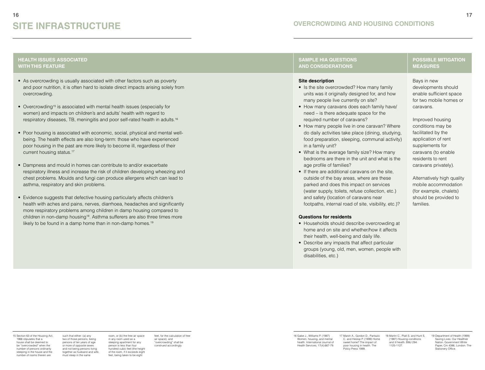| <b>HEALTH ISSUES ASSOCIATED</b>                                                                                                                                                                                                                                                                                                                                                                                                                                                                                                                                                                                                                                                                                                                                                                                                                                                                                                                                                                                                                                                                                                                                                                                                                                                                                                                                                                                         | <b>SAMPLE HIA QUESTIONS</b>                                                                                                                                                                                                                                                                                                                                                                                                                                                                                                                                                                                                                                                                                                                                                                                                                                                                                                                                                                                                                                                                                                                                                                        | <b>POSSIBLE MITIGATION</b>                                                                                                                                                                                                                                                                                                                                                                               |
|-------------------------------------------------------------------------------------------------------------------------------------------------------------------------------------------------------------------------------------------------------------------------------------------------------------------------------------------------------------------------------------------------------------------------------------------------------------------------------------------------------------------------------------------------------------------------------------------------------------------------------------------------------------------------------------------------------------------------------------------------------------------------------------------------------------------------------------------------------------------------------------------------------------------------------------------------------------------------------------------------------------------------------------------------------------------------------------------------------------------------------------------------------------------------------------------------------------------------------------------------------------------------------------------------------------------------------------------------------------------------------------------------------------------------|----------------------------------------------------------------------------------------------------------------------------------------------------------------------------------------------------------------------------------------------------------------------------------------------------------------------------------------------------------------------------------------------------------------------------------------------------------------------------------------------------------------------------------------------------------------------------------------------------------------------------------------------------------------------------------------------------------------------------------------------------------------------------------------------------------------------------------------------------------------------------------------------------------------------------------------------------------------------------------------------------------------------------------------------------------------------------------------------------------------------------------------------------------------------------------------------------|----------------------------------------------------------------------------------------------------------------------------------------------------------------------------------------------------------------------------------------------------------------------------------------------------------------------------------------------------------------------------------------------------------|
| <b>WITH THIS FEATURE</b>                                                                                                                                                                                                                                                                                                                                                                                                                                                                                                                                                                                                                                                                                                                                                                                                                                                                                                                                                                                                                                                                                                                                                                                                                                                                                                                                                                                                | <b>AND CONSIDERATIONS</b>                                                                                                                                                                                                                                                                                                                                                                                                                                                                                                                                                                                                                                                                                                                                                                                                                                                                                                                                                                                                                                                                                                                                                                          | <b>MEASURES</b>                                                                                                                                                                                                                                                                                                                                                                                          |
| • As overcrowding is usually associated with other factors such as poverty<br>and poor nutrition, it is often hard to isolate direct impacts arising solely from<br>overcrowding.<br>• Overcrowding <sup>15</sup> is associated with mental health issues (especially for<br>women) and impacts on children's and adults' health with regard to<br>respiratory diseases, TB, meningitis and poor self-rated health in adults. <sup>16</sup><br>• Poor housing is associated with economic, social, physical and mental well-<br>being. The health effects are also long-term: those who have experienced<br>poor housing in the past are more likely to become ill, regardless of their<br>current housing status. <sup>17</sup><br>• Dampness and mould in homes can contribute to and/or exacerbate<br>respiratory illness and increase the risk of children developing wheezing and<br>chest problems. Moulds and fungi can produce allergens which can lead to<br>asthma, respiratory and skin problems.<br>• Evidence suggests that defective housing particularly affects children's<br>health with aches and pains, nerves, diarrhoea, headaches and significantly<br>more respiratory problems among children in damp housing compared to<br>children in non-damp housing <sup>18</sup> . Asthma sufferers are also three times more<br>likely to be found in a damp home than in non-damp homes. <sup>19</sup> | <b>Site description</b><br>• Is the site overcrowded? How many family<br>units was it originally designed for, and how<br>many people live currently on site?<br>• How many caravans does each family have/<br>need - is there adequate space for the<br>required number of caravans?<br>• How many people live in one caravan? Where<br>do daily activities take place (dining, studying,<br>food preparation, sleeping, communal activity)<br>in a family unit?<br>• What is the average family size? How many<br>bedrooms are there in the unit and what is the<br>age profile of families?<br>• If there are additional caravans on the site,<br>outside of the bay areas, where are these<br>parked and does this impact on services<br>(water supply, toilets, refuse collection, etc.)<br>and safety (location of caravans near<br>footpaths, internal road of site, visibility, etc.)?<br><b>Questions for residents</b><br>• Households should describe overcrowding at<br>home and on site and whether/how it affects<br>their health, well-being and daily life.<br>• Describe any impacts that affect particular<br>groups (young, old, men, women, people with<br>disabilities, etc.) | Bays in new<br>developments should<br>enable sufficient space<br>for two mobile homes or<br>caravans.<br>Improved housing<br>conditions may be<br>facilitated by the<br>application of rent<br>supplements for<br>caravans (to enable<br>residents to rent<br>caravans privately).<br>Alternatively high quality<br>mobile accommodation<br>(for example, chalets)<br>should be provided to<br>families. |

such that either: (a) any two of those persons, being persons of ten years of age or more of opposite sexes and not being persons living together as husband and wife, must sleep in the same room, or (b) the free air space in any room used as a sleeping apartment for any person is less than four hundred cubic feet (the height of the room, if it exceeds eight feet, being taken to be eight

feet, for the calculation of free air space), and "overcrowding" shall be construed accordingly.

16 Gabe J., Williams P. (1987) Women, housing, and mental health. International Journal of Health Services; 17(4):667-79.

17 Marsh A., Gordon D., Pantazic C. and Heslop P. (1999) Home<br>sweet home? The impact of<br>poor housing in health. The<br>Policy Press 1999. 1125-1127.

18 Martin C., Platt S. and Hunt S. (1987) Housing conditions and ill health. BMJ 294:

19 Department of Health (1999) Saving Lives: Our Healthier Nation. Government White Paper, Cm 4386, London: The Stationery Office.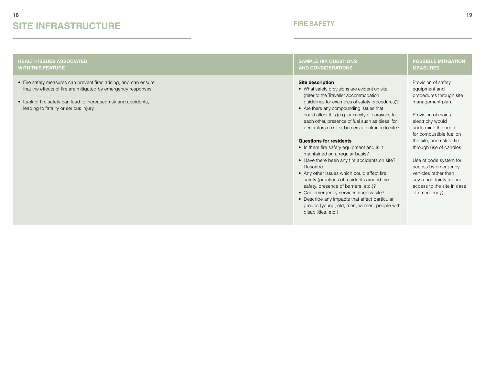| <b>HEALTH ISSUES ASSOCIATED</b>                                                                                                                                                                                                             | <b>SAMPLE HIA QUESTIONS</b>                                                                                                                                                                                                                                                                                                                                                                                                                                                                                                                                                                                                                                                                                                                                                                                                                                    | <b>POSSIBLE MITIGATION</b>                                                                                                                                                                                                                                                                                                                                                                   |
|---------------------------------------------------------------------------------------------------------------------------------------------------------------------------------------------------------------------------------------------|----------------------------------------------------------------------------------------------------------------------------------------------------------------------------------------------------------------------------------------------------------------------------------------------------------------------------------------------------------------------------------------------------------------------------------------------------------------------------------------------------------------------------------------------------------------------------------------------------------------------------------------------------------------------------------------------------------------------------------------------------------------------------------------------------------------------------------------------------------------|----------------------------------------------------------------------------------------------------------------------------------------------------------------------------------------------------------------------------------------------------------------------------------------------------------------------------------------------------------------------------------------------|
| <b>WITH THIS FEATURE</b>                                                                                                                                                                                                                    | <b>AND CONSIDERATIONS</b>                                                                                                                                                                                                                                                                                                                                                                                                                                                                                                                                                                                                                                                                                                                                                                                                                                      | <b>MEASURES</b>                                                                                                                                                                                                                                                                                                                                                                              |
| Fire safety measures can prevent fires arising, and can ensure<br>that the effects of fire are mitigated by emergency responses.<br>Lack of fire safety can lead to increased risk and accidents,<br>leading to fatality or serious injury. | <b>Site description</b><br>• What safety provisions are evident on site<br>(refer to the Traveller accommodation<br>guidelines for examples of safety procedures)?<br>• Are there any compounding issues that<br>could affect this (e.g. proximity of caravans to<br>each other, presence of fuel such as diesel for<br>generators on site), barriers at entrance to site?<br><b>Questions for residents</b><br>• Is there fire safety equipment and is it<br>maintained on a regular basis?<br>• Have there been any fire accidents on site?<br>Describe.<br>• Any other issues which could affect fire<br>safety (practices of residents around fire<br>safety, presence of barriers, etc.)?<br>• Can emergency services access site?<br>• Describe any impacts that affect particular<br>groups (young, old, men, women, people with<br>disabilities, etc.) | Provision of safety<br>equipment and<br>procedures through site<br>management plan.<br>Provision of mains<br>electricity would<br>undermine the need<br>for combustible fuel on<br>the site, and risk of fire<br>through use of candles.<br>Use of code system for<br>access by emergency<br>vehicles rather than<br>key (uncertainty around<br>access to the site in case<br>of emergency). |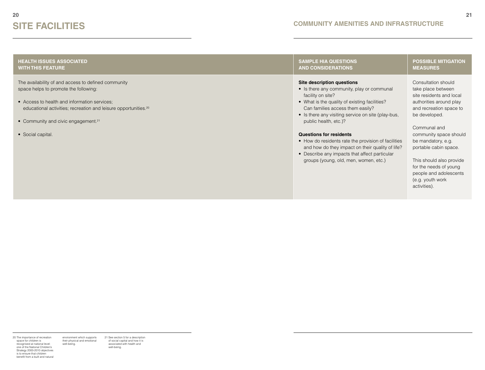| <b>Site description questions</b><br>Consultation should<br>The availability of and access to defined community<br>space helps to promote the following:<br>• Is there any community, play or communal<br>take place between<br>facility on site?<br>site residents and local<br>• What is the quality of existing facilities?<br>• Access to health and information services;<br>authorities around play<br>Can families access them easily?<br>educational activities; recreation and leisure opportunities. <sup>20</sup><br>and recreation space to<br>• Is there any visiting service on site (play-bus,<br>be developed.<br>• Community and civic engagement. <sup>21</sup><br>public health, etc.)?<br>Communal and<br><b>Questions for residents</b><br>• Social capital.<br>community space should<br>• How do residents rate the provision of facilities<br>be mandatory, e.g.<br>and how do they impact on their quality of life?<br>portable cabin space.<br>• Describe any impacts that affect particular<br>groups (young, old, men, women, etc.)<br>This should also provide<br>for the needs of young<br>people and adolescents<br>(e.g. youth work<br>activities). | <b>HEALTH ISSUES ASSOCIATED</b><br><b>WITH THIS FEATURE</b> | <b>SAMPLE HIA QUESTIONS</b><br><b>AND CONSIDERATIONS</b> | <b>POSSIBLE MITIGATION</b><br><b>MEASURES</b> |
|-------------------------------------------------------------------------------------------------------------------------------------------------------------------------------------------------------------------------------------------------------------------------------------------------------------------------------------------------------------------------------------------------------------------------------------------------------------------------------------------------------------------------------------------------------------------------------------------------------------------------------------------------------------------------------------------------------------------------------------------------------------------------------------------------------------------------------------------------------------------------------------------------------------------------------------------------------------------------------------------------------------------------------------------------------------------------------------------------------------------------------------------------------------------------------------|-------------------------------------------------------------|----------------------------------------------------------|-----------------------------------------------|
|                                                                                                                                                                                                                                                                                                                                                                                                                                                                                                                                                                                                                                                                                                                                                                                                                                                                                                                                                                                                                                                                                                                                                                                     |                                                             |                                                          |                                               |

environment which supports their physical and emotional well-being.

21 See section 5 for a description of social capital and how it is associated with health and well-being.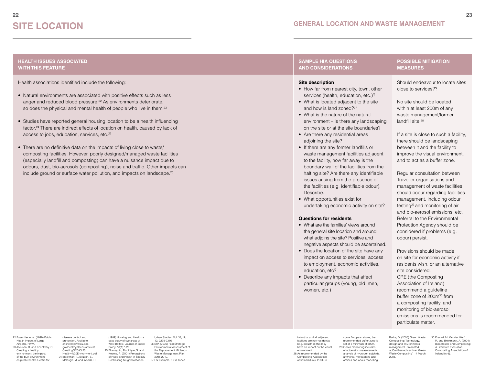#### **Health issues associated with this feature**

Health associations identified include the following:

- Natural environments are associated with positive effects such as less anger and reduced blood pressure.<sup>22</sup> As environments deteriorate, so does the physical and mental health of people who live in them.<sup>23</sup>
- Studies have reported general housing location to be a health influencing factor.24 There are indirect effects of location on health, caused by lack of access to jobs, education, services, etc.25
- There are no definitive data on the impacts of living close to waste/ composting facilities. However, poorly designed/managed waste facilities (especially landfill and composting) can have a nuisance impact due to odours, dust, bio-aerosols (composting), noise and traffic. Other impacts can include ground or surface water pollution, and impacts on landscape.<sup>26</sup>

#### **Sample HIA questions and considerations**

#### **Site description**

- How far from nearest city, town, other services (health, education, etc.)?
- What is located adjacent to the site and how is land zoned?<sup>27</sup>
- What is the nature of the natural environment – is there any landscaping on the site or at the site boundaries?
- Are there any residential areas adjoining the site?
- • If there are any former landfills or waste management facilities adjacent to the facility, how far away is the boundary wall of the facilities from the halting site? Are there any identifiable issues arising from the presence of the facilities (e.g. identifiable odour). Describe.
- What opportunities exist for undertaking economic activity on site?

#### **Questions for residents**

- What are the families' views around the general site location and around what adjoins the site? Positive and negative aspects should be ascertained.
- Does the location of the site have any impact on access to services, access to employment, economic activities, education, etc?
- Describe any impacts that affect particular groups (young, old, men, women, etc.)

#### **Possible mitigation measures**

Should endeavour to locate sites close to services??

No site should be located within at least 200m of any waste management/former landfill site.<sup>28</sup>

If a site is close to such a facility, there should be landscaping between it and the facility to improve the visual environment, and to act as a buffer zone.

Regular consultation between Traveller organisations and management of waste facilities should occur regarding facilities management, including odour testing29 and monitoring of air and bio-aerosol emissions, etc. Referral to the Environmental Protection Agency should be considered if problems (e.g. odour) persist.

Provisions should be made on site for economic activity if residents wish, or an alternative site considered. CRE (the Composting Association of Ireland) recommend a guideline buffer zone of 200m<sup>30</sup> from a composting facility, and monitoring of bio-aerosol emissions is recommended for particulate matter.

22 Passchier et al. (1999) Public Health Impact of Large Airports. RIVM. 23 Jackson, R. and Kochtitzky, C. Creating a healthy environment: the impact of the built environment on public health. Centre for

prevention. Available online http://www.cdc. gov/healthyplaces/articles/ Creating%20A%20 Healthy%20Environment.pdf 24 Blackman, T., Evason, E., Melaugh, M. and Woods, R.

disease control and (1989) Housing and Health: a case study of two areas of West Belfast. Journal of Social Policy, 18(1):1-26. 25 Ellaway, A., Macintyre, S. and Kearns, A. (2001) Perceptions of Place and Health in Socially Contrasting Neighbourhoods.

Urban Studies, Vol. 38, No. 12, 2299-2316. 26 EPA (2005) Pilot Strategic Environmental Assessment of the Replacement Midlands Waste Management Plan 2005-2010. 27 For example, if it is zoned

industrial and all adjacent facilities are non-residential (e.g. industrial) this may have an impact on the visual environment. 28 As recommended by the

Composting Association of Ireland (Cré), 2004. In

 recommended buffer zone is set at a minimum of 500m. 29 Odour monitoring includes olfactometric measurements, analysis of hydrogen sulphide, ammonia, mercaptans and amines and odour modelling.

some European states, the

Burke, D. (2006) Green Waste Composting: Technology, design and environmental management. Presented at Cré themed seminar 'Green Waste Composting', 14 March 2006.

30 Prasad, M. Van der Werf, P., and Brinkmann, A. (2004) Bioaerosols and Composting: A Literature Evaluation. Composting Association of Ireland (cré).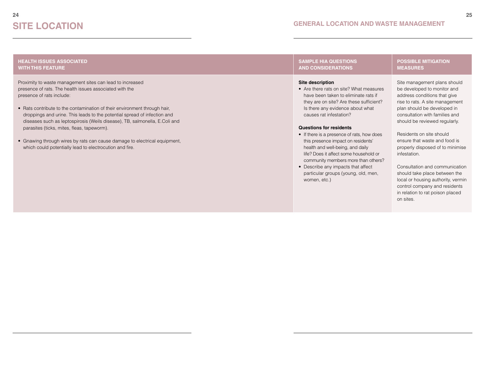#### **Health issues associated with this feature**

Proximity to waste management sites can lead to increased presence of rats. The health issues associated with the presence of rats include:

- Rats contribute to the contamination of their environment through hair, droppings and urine. This leads to the potential spread of infection and diseases such as leptospirosis (Weils disease), TB, salmonella, E.Coli and parasites (ticks, mites, fleas, tapeworm).
- Gnawing through wires by rats can cause damage to electrical equipment, which could potentially lead to electrocution and fire.

#### **Sample HIA questions and considerations**

#### **Site description**

• Are there rats on site? What measures have been taken to eliminate rats if they are on site? Are these sufficient? Is there any evidence about what causes rat infestation?

#### **Questions for residents**

- If there is a presence of rats, how does this presence impact on residents' health and well-being, and daily life? Does it affect some household or community members more than others?
- Describe any impacts that affect particular groups (young, old, men, women, etc.)

#### **Possible mitigation measures**

Site management plans should be developed to monitor and address conditions that give rise to rats. A site management plan should be developed in consultation with families and should be reviewed regularly.

Residents on site should ensure that waste and food is properly disposed of to minimise infestation.

Consultation and communication should take place between the local or housing authority, vermin control company and residents in relation to rat poison placed on sites.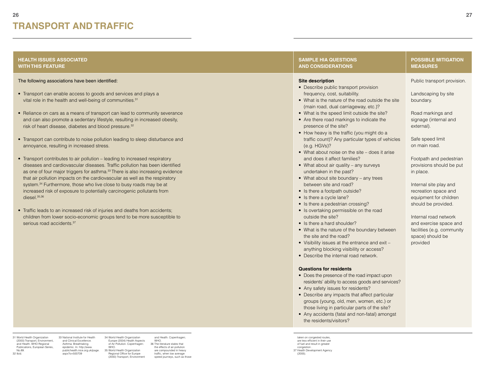| <b>HEALTH ISSUES ASSOCIATED</b>                                                                                                                                                                                                                                                                                                                                                                                                                                                                                                                                                                                                                                                                                                                                                                                                                                                                                                                                                                                                                                                                                                                                                                                                                                                                                   | <b>SAMPLE HIA QUESTIONS</b><br><b>AND CONSIDERATIONS</b>                                                                                                                                                                                                                                                                                                                                                                                                                                                                                                                                                                                                                                                                                                                                                                                                                                                                                                                                                                                                                                                                                                            | <b>POSSIBLE MITIGATION</b><br><b>MEASURES</b>                                                                                                                                                                                                                                                                                                                                                                                                            |
|-------------------------------------------------------------------------------------------------------------------------------------------------------------------------------------------------------------------------------------------------------------------------------------------------------------------------------------------------------------------------------------------------------------------------------------------------------------------------------------------------------------------------------------------------------------------------------------------------------------------------------------------------------------------------------------------------------------------------------------------------------------------------------------------------------------------------------------------------------------------------------------------------------------------------------------------------------------------------------------------------------------------------------------------------------------------------------------------------------------------------------------------------------------------------------------------------------------------------------------------------------------------------------------------------------------------|---------------------------------------------------------------------------------------------------------------------------------------------------------------------------------------------------------------------------------------------------------------------------------------------------------------------------------------------------------------------------------------------------------------------------------------------------------------------------------------------------------------------------------------------------------------------------------------------------------------------------------------------------------------------------------------------------------------------------------------------------------------------------------------------------------------------------------------------------------------------------------------------------------------------------------------------------------------------------------------------------------------------------------------------------------------------------------------------------------------------------------------------------------------------|----------------------------------------------------------------------------------------------------------------------------------------------------------------------------------------------------------------------------------------------------------------------------------------------------------------------------------------------------------------------------------------------------------------------------------------------------------|
| <b>WITH THIS FEATURE</b><br>The following associations have been identified:<br>• Transport can enable access to goods and services and plays a<br>vital role in the health and well-being of communities. <sup>31</sup><br>Reliance on cars as a means of transport can lead to community severance<br>and can also promote a sedentary lifestyle, resulting in increased obesity,<br>risk of heart disease, diabetes and blood pressure. <sup>32</sup><br>Transport can contribute to noise pollution leading to sleep disturbance and<br>annoyance, resulting in increased stress.<br>Transport contributes to air pollution - leading to increased respiratory<br>diseases and cardiovascular diseases. Traffic pollution has been identified<br>as one of four major triggers for asthma. <sup>33</sup> There is also increasing evidence<br>that air pollution impacts on the cardiovascular as well as the respiratory<br>system. <sup>34</sup> Furthermore, those who live close to busy roads may be at<br>increased risk of exposure to potentially carcinogenic pollutants from<br>diesel. $35,36$<br>• Traffic leads to an increased risk of injuries and deaths from accidents;<br>children from lower socio-economic groups tend to be more susceptible to<br>serious road accidents. <sup>37</sup> | <b>Site description</b><br>• Describe public transport provision<br>frequency, cost, suitability.<br>• What is the nature of the road outside the site<br>(main road, dual carriageway, etc.)?<br>• What is the speed limit outside the site?<br>• Are there road markings to indicate the<br>presence of the site?<br>• How heavy is the traffic (you might do a<br>traffic count)? Any particular types of vehicles<br>(e.g. HGVs)?<br>• What about noise on the site – does it arise<br>and does it affect families?<br>• What about air quality – any surveys<br>undertaken in the past?<br>• What about site boundary – any trees<br>between site and road?<br>• Is there a footpath outside?<br>• Is there a cycle lane?<br>• Is there a pedestrian crossing?<br>• Is overtaking permissible on the road<br>outside the site?<br>• Is there a hard shoulder?<br>• What is the nature of the boundary between<br>the site and the road?<br>• Visibility issues at the entrance and exit -<br>anything blocking visibility or access?<br>• Describe the internal road network.<br><b>Questions for residents</b><br>• Does the presence of the road impact upon | Public transport provision.<br>Landscaping by site<br>boundary.<br>Road markings and<br>signage (internal and<br>external).<br>Safe speed limit<br>on main road.<br>Footpath and pedestrian<br>provisions should be put<br>in place.<br>Internal site play and<br>recreation space and<br>equipment for children<br>should be provided.<br>Internal road network<br>and exercise space and<br>facilities (e.g. community<br>space) should be<br>provided |
|                                                                                                                                                                                                                                                                                                                                                                                                                                                                                                                                                                                                                                                                                                                                                                                                                                                                                                                                                                                                                                                                                                                                                                                                                                                                                                                   | residents' ability to access goods and services?<br>• Any safety issues for residents?<br>• Describe any impacts that affect particular<br>groups (young, old, men, women, etc.) or<br>those living in particular parts of the site?                                                                                                                                                                                                                                                                                                                                                                                                                                                                                                                                                                                                                                                                                                                                                                                                                                                                                                                                |                                                                                                                                                                                                                                                                                                                                                                                                                                                          |

• Any accidents (fatal and non-fatal) amongst the residents/visitors?

31 World Health Organization (2000) Transport, Environment, and Health. WHO Regional Publications, European Series, No.89. 32 Ibid.

33 National Institute for Health and Clinical Excellence. Asthma: Breathtaking epidemic. In: http://www. publichealth.nice.org.uk/page. aspx?o=500709 34 World Health Organization Europe (2004) Health Aspects of Air Pollution. Copenhagen:

WHO. 35 World Health Organization Regional Office for Europe (2000) Transport, Environment

and Health. Copenhagen; WHO. 36 The literature states that the effects of air pollution are compounded in heavy traffic, when low average speed journeys, such as those taken on congested routes, are less efficient in their use of fuel and result in greater

congestion . 37 Health Development Agency (2005).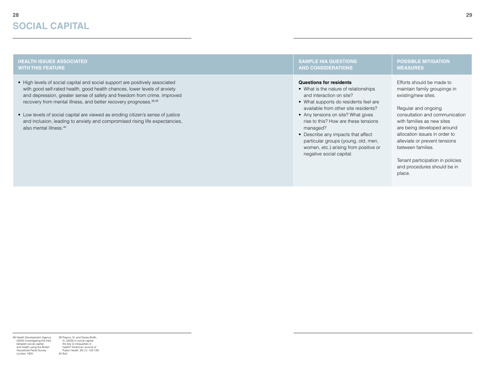#### **Health issues associated with this feature**

- High levels of social capital and social support are positively associated with good self-rated health, good health chances, lower levels of anxiety and depression, greater sense of safety and freedom from crime, improved recovery from mental illness, and better recovery prognoses.<sup>38,39</sup>
- • Low levels of social capital are viewed as eroding citizen's sense of justice and inclusion, leading to anxiety and compromised rising life expectancies, also mental illness.40

#### **Sample HIA questions and considerations**

#### **Questions for residents**

- What is the nature of relationships and interaction on site?
- What supports do residents feel are available from other site residents?
- Any tensions on site? What gives rise to this? How are these tensions managed?
- Describe any impacts that affect particular groups (young, old, men, women, etc.) arising from positive or negative social capital.

**Possible mitigation measures**

#### Efforts should be made to maintain family groupings in existing/new sites.

Regular and ongoing consultation and communication with families as new sites are being developed around allocation issues in order to alleviate or prevent tensions between families.

Tenant participation in policies and procedures should be in place.

38 Health Development Agency (2004) Investigating the links between social capital and health using the British Household Panel Survey.

London: HDA.

39 Pearce, N. and Davey-Smith, G. (2003) Is social capital the key to inequalities in health? American Journal of Public Health, 93 (1): 122-129. 40 Ibid.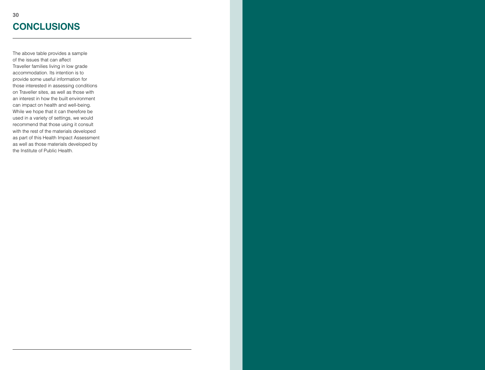### **30 31 Con clusions**

The above table provides a sample of the issues that can affect Traveller families living in low grade accommodation. Its intention is to provide some useful information for those interested in assessing conditions on Traveller sites, as well as those with an interest in how the built environment can impact on health and well-being. While we hope that it can therefore be used in a variety of settings, we would recommend that those using it consult with the rest of the materials developed as part of this Health Impact Assessment as well as those materials developed by the Institute of Public Health.